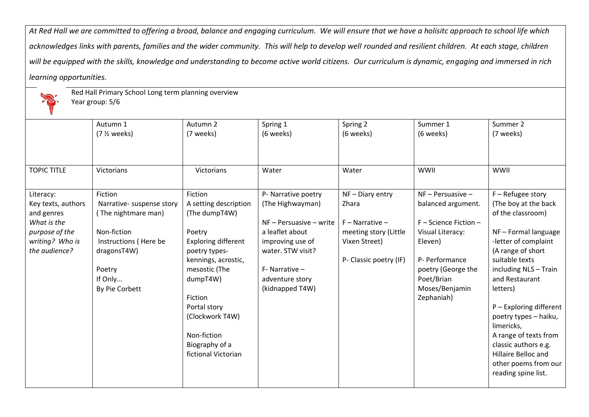*At Red Hall we are committed to offering a broad, balance and engaging curriculum. We will ensure that we have a holisitc approach to school life which*  acknowledges links with parents, families and the wider community. This will help to develop well rounded and resilient children. At each stage, children *will be equipped with the skills, knowledge and understanding to become active world citizens. Our curriculum is dynamic, engaging and immersed in rich learning opportunities.*



Red Hall Primary School Long term planning overview

Year group: 5/6

|                    | Autumn 1                  | Autumn 2              | Spring 1                  | Spring 2               | Summer 1              | Summer 2                |
|--------------------|---------------------------|-----------------------|---------------------------|------------------------|-----------------------|-------------------------|
|                    | $(7 \frac{1}{2} weeks)$   | (7 weeks)             | (6 weeks)                 | (6 weeks)              | (6 weeks)             | (7 weeks)               |
|                    |                           |                       |                           |                        |                       |                         |
|                    |                           |                       |                           |                        |                       |                         |
| <b>TOPIC TITLE</b> | Victorians                | Victorians            | Water                     | Water                  | WWII                  | <b>WWII</b>             |
|                    |                           |                       |                           |                        |                       |                         |
| Literacy:          | Fiction                   | Fiction               | P- Narrative poetry       | $NF - Diary entry$     | $NF - Persuasive -$   | $F -$ Refugee story     |
| Key texts, authors | Narrative- suspense story | A setting description | (The Highwayman)          | Zhara                  | balanced argument.    | (The boy at the back    |
| and genres         | (The nightmare man)       | (The dumpT4W)         |                           |                        |                       | of the classroom)       |
| What is the        |                           |                       | $NF - Persuasive - write$ | $F -$ Narrative $-$    | F - Science Fiction - |                         |
| purpose of the     | Non-fiction               | Poetry                | a leaflet about           | meeting story (Little  | Visual Literacy:      | NF-Formal language      |
| writing? Who is    | Instructions (Here be     | Exploring different   | improving use of          | Vixen Street)          | Eleven)               | -letter of complaint    |
| the audience?      | dragonsT4W)               | poetry types-         | water. STW visit?         |                        |                       | (A range of short       |
|                    |                           | kennings, acrostic,   |                           | P- Classic poetry (IF) | P- Performance        | suitable texts          |
|                    | Poetry                    | mesostic (The         | $F-$ Narrative $-$        |                        | poetry (George the    | including NLS - Train   |
|                    | If Only                   | dumpT4W)              | adventure story           |                        | Poet/Brian            | and Restaurant          |
|                    | By Pie Corbett            |                       | (kidnapped T4W)           |                        | Moses/Benjamin        | letters)                |
|                    |                           | Fiction               |                           |                        | Zephaniah)            |                         |
|                    |                           | Portal story          |                           |                        |                       | P - Exploring different |
|                    |                           | (Clockwork T4W)       |                           |                        |                       | poetry types - haiku,   |
|                    |                           |                       |                           |                        |                       | limericks,              |
|                    |                           | Non-fiction           |                           |                        |                       | A range of texts from   |
|                    |                           | Biography of a        |                           |                        |                       | classic authors e.g.    |
|                    |                           | fictional Victorian   |                           |                        |                       | Hillaire Belloc and     |
|                    |                           |                       |                           |                        |                       | other poems from our    |
|                    |                           |                       |                           |                        |                       | reading spine list.     |
|                    |                           |                       |                           |                        |                       |                         |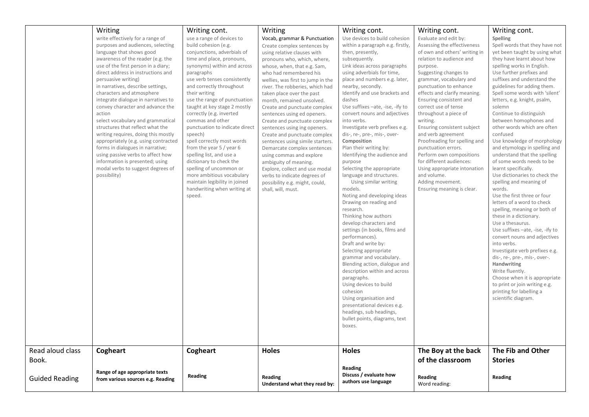|                       | Writing<br>write effectively for a range of<br>purposes and audiences, selecting<br>language that shows good<br>awareness of the reader (e.g. the<br>use of the first person in a diary;<br>direct address in instructions and<br>persuasive writing)<br>in narratives, describe settings,<br>characters and atmosphere<br>integrate dialogue in narratives to<br>convey character and advance the<br>action<br>select vocabulary and grammatical<br>structures that reflect what the<br>writing requires, doing this mostly<br>appropriately (e.g. using contracted<br>forms in dialogues in narrative;<br>using passive verbs to affect how<br>information is presented; using<br>modal verbs to suggest degrees of<br>possibility) | Writing cont.<br>use a range of devices to<br>build cohesion (e.g.<br>conjunctions, adverbials of<br>time and place, pronouns,<br>synonyms) within and across<br>paragraphs<br>use verb tenses consistently<br>and correctly throughout<br>their writing<br>use the range of punctuation<br>taught at key stage 2 mostly<br>correctly (e.g. inverted<br>commas and other<br>punctuation to indicate direct<br>speech)<br>spell correctly most words<br>from the year 5 / year 6<br>spelling list, and use a<br>dictionary to check the<br>spelling of uncommon or<br>more ambitious vocabulary<br>maintain legibility in joined<br>handwriting when writing at<br>speed. | Writing<br>Vocab, grammar & Punctuation<br>Create complex sentences by<br>using relative clauses with<br>pronouns who, which, where,<br>whose, when, that e.g. Sam,<br>who had remembered his<br>wellies, was first to jump in the<br>river. The robberies, which had<br>taken place over the past<br>month, remained unsolved.<br>Create and punctuate complex<br>sentences using ed openers.<br>Create and punctuate complex<br>sentences using ing openers.<br>Create and punctuate complex<br>sentences using simile starters.<br>Demarcate complex sentences<br>using commas and explore<br>ambiguity of meaning.<br>Explore, collect and use modal<br>verbs to indicate degrees of<br>possibility e.g. might, could,<br>shall, will, must. | Writing cont.<br>Use devices to build cohesion<br>within a paragraph e.g. firstly,<br>then, presently,<br>subsequently.<br>Link ideas across paragraphs<br>using adverbials for time,<br>place and numbers e.g. later,<br>nearby, secondly.<br>Identify and use brackets and<br>dashes<br>Use suffixes -ate, -ise, -ify to<br>convert nouns and adjectives<br>into verbs.<br>Investigate verb prefixes e.g.<br>dis-, re-, pre-, mis-, over-<br>Composition<br>Plan their writing by:<br>Identifying the audience and<br>purpose<br>Selecting the appropriate<br>language and structures.<br>Using similar writing<br>models.<br>Noting and developing ideas<br>Drawing on reading and<br>research.<br>Thinking how authors<br>develop characters and<br>settings (in books, films and<br>performances).<br>Draft and write by:<br>Selecting appropriate<br>grammar and vocabulary.<br>Blending action, dialogue and<br>description within and across<br>paragraphs.<br>Using devices to build<br>cohesion<br>Using organisation and<br>presentational devices e.g.<br>headings, sub headings,<br>bullet points, diagrams, text<br>boxes. | Writing cont.<br>Evaluate and edit by:<br>Assessing the effectiveness<br>of own and others' writing in<br>relation to audience and<br>purpose.<br>Suggesting changes to<br>grammar, vocabulary and<br>punctuation to enhance<br>effects and clarify meaning.<br>Ensuring consistent and<br>correct use of tense<br>throughout a piece of<br>writing.<br>Ensuring consistent subject<br>and verb agreement<br>Proofreading for spelling and<br>punctuation errors.<br>Perform own compositions<br>for different audiences:<br>Using appropriate intonation<br>and volume.<br>Adding movement.<br>Ensuring meaning is clear. | Writing cont.<br>Spelling<br>Spell words that they have not<br>yet been taught by using what<br>they have learnt about how<br>spelling works in English.<br>Use further prefixes and<br>suffixes and understand the<br>guidelines for adding them.<br>Spell some words with 'silent'<br>letters, e.g. knight, psalm,<br>solemn<br>Continue to distinguish<br>between homophones and<br>other words which are often<br>confused<br>Use knowledge of morphology<br>and etymology in spelling and<br>understand that the spelling<br>of some words needs to be<br>learnt specifically.<br>Use dictionaries to check the<br>spelling and meaning of<br>words.<br>Use the first three or four<br>letters of a word to check<br>spelling, meaning or both of<br>these in a dictionary.<br>Use a thesaurus.<br>Use suffixes -ate, -ise, -ify to<br>convert nouns and adjectives<br>into verbs.<br>Investigate verb prefixes e.g.<br>dis-, re-, pre-, mis-, over-.<br>Handwriting<br>Write fluently.<br>Choose when it is appropriate<br>to print or join writing e.g.<br>printing for labelling a<br>scientific diagram. |
|-----------------------|---------------------------------------------------------------------------------------------------------------------------------------------------------------------------------------------------------------------------------------------------------------------------------------------------------------------------------------------------------------------------------------------------------------------------------------------------------------------------------------------------------------------------------------------------------------------------------------------------------------------------------------------------------------------------------------------------------------------------------------|--------------------------------------------------------------------------------------------------------------------------------------------------------------------------------------------------------------------------------------------------------------------------------------------------------------------------------------------------------------------------------------------------------------------------------------------------------------------------------------------------------------------------------------------------------------------------------------------------------------------------------------------------------------------------|--------------------------------------------------------------------------------------------------------------------------------------------------------------------------------------------------------------------------------------------------------------------------------------------------------------------------------------------------------------------------------------------------------------------------------------------------------------------------------------------------------------------------------------------------------------------------------------------------------------------------------------------------------------------------------------------------------------------------------------------------|------------------------------------------------------------------------------------------------------------------------------------------------------------------------------------------------------------------------------------------------------------------------------------------------------------------------------------------------------------------------------------------------------------------------------------------------------------------------------------------------------------------------------------------------------------------------------------------------------------------------------------------------------------------------------------------------------------------------------------------------------------------------------------------------------------------------------------------------------------------------------------------------------------------------------------------------------------------------------------------------------------------------------------------------------------------------------------------------------------------------------------------|----------------------------------------------------------------------------------------------------------------------------------------------------------------------------------------------------------------------------------------------------------------------------------------------------------------------------------------------------------------------------------------------------------------------------------------------------------------------------------------------------------------------------------------------------------------------------------------------------------------------------|-------------------------------------------------------------------------------------------------------------------------------------------------------------------------------------------------------------------------------------------------------------------------------------------------------------------------------------------------------------------------------------------------------------------------------------------------------------------------------------------------------------------------------------------------------------------------------------------------------------------------------------------------------------------------------------------------------------------------------------------------------------------------------------------------------------------------------------------------------------------------------------------------------------------------------------------------------------------------------------------------------------------------------------------------------------------------------------------------------------------|
| Read aloud class      | Cogheart                                                                                                                                                                                                                                                                                                                                                                                                                                                                                                                                                                                                                                                                                                                              | Cogheart                                                                                                                                                                                                                                                                                                                                                                                                                                                                                                                                                                                                                                                                 | <b>Holes</b>                                                                                                                                                                                                                                                                                                                                                                                                                                                                                                                                                                                                                                                                                                                                     | <b>Holes</b>                                                                                                                                                                                                                                                                                                                                                                                                                                                                                                                                                                                                                                                                                                                                                                                                                                                                                                                                                                                                                                                                                                                             | The Boy at the back                                                                                                                                                                                                                                                                                                                                                                                                                                                                                                                                                                                                        | The Fib and Other                                                                                                                                                                                                                                                                                                                                                                                                                                                                                                                                                                                                                                                                                                                                                                                                                                                                                                                                                                                                                                                                                                 |
| Book.                 |                                                                                                                                                                                                                                                                                                                                                                                                                                                                                                                                                                                                                                                                                                                                       |                                                                                                                                                                                                                                                                                                                                                                                                                                                                                                                                                                                                                                                                          |                                                                                                                                                                                                                                                                                                                                                                                                                                                                                                                                                                                                                                                                                                                                                  |                                                                                                                                                                                                                                                                                                                                                                                                                                                                                                                                                                                                                                                                                                                                                                                                                                                                                                                                                                                                                                                                                                                                          | of the classroom                                                                                                                                                                                                                                                                                                                                                                                                                                                                                                                                                                                                           | <b>Stories</b>                                                                                                                                                                                                                                                                                                                                                                                                                                                                                                                                                                                                                                                                                                                                                                                                                                                                                                                                                                                                                                                                                                    |
| <b>Guided Reading</b> | Range of age appropriate texts<br>from various sources e.g. Reading                                                                                                                                                                                                                                                                                                                                                                                                                                                                                                                                                                                                                                                                   | <b>Reading</b>                                                                                                                                                                                                                                                                                                                                                                                                                                                                                                                                                                                                                                                           | Reading<br>Understand what they read by:                                                                                                                                                                                                                                                                                                                                                                                                                                                                                                                                                                                                                                                                                                         | Reading<br>Discuss / evaluate how<br>authors use language                                                                                                                                                                                                                                                                                                                                                                                                                                                                                                                                                                                                                                                                                                                                                                                                                                                                                                                                                                                                                                                                                | Reading<br>Word reading:                                                                                                                                                                                                                                                                                                                                                                                                                                                                                                                                                                                                   | Reading                                                                                                                                                                                                                                                                                                                                                                                                                                                                                                                                                                                                                                                                                                                                                                                                                                                                                                                                                                                                                                                                                                           |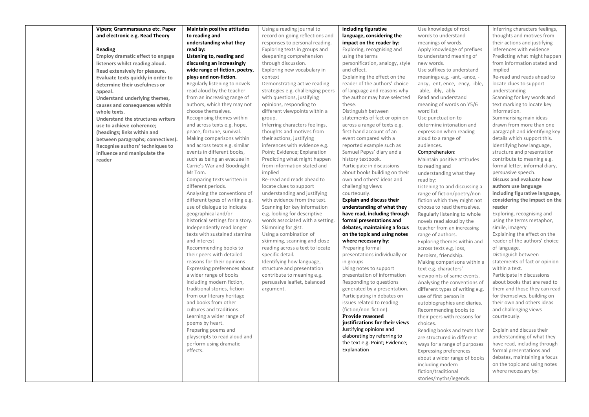| Vipers; Grammarsaurus etc. Paper        | <b>Maintain positive attitudes</b> | Using a reading journal to        | including figurative             | Use knowledge of root           | Inferring characters feelings, |
|-----------------------------------------|------------------------------------|-----------------------------------|----------------------------------|---------------------------------|--------------------------------|
| and electronic e.g. Read Theory         | to reading and                     | record on-going reflections and   | language, considering the        | words to understand             | thoughts and motives from      |
|                                         | understanding what they            | responses to personal reading.    | impact on the reader by:         | meanings of words.              | their actions and justifying   |
| Reading                                 | read by:                           | Exploring texts in groups and     | Exploring, recognising and       | Apply knowledge of prefixes     | inferences with evidence       |
| <b>Employ dramatic effect to engage</b> | Listening to, reading and          | deepening comprehension           | using the terms                  | to understand meaning of        | Predicting what might happen   |
| listeners whilst reading aloud.         | discussing an increasingly         | through discussion.               | personification, analogy, style  | new words.                      | from information stated and    |
| Read extensively for pleasure.          | wide range of fiction, poetry,     | Exploring new vocabulary in       | and effect.                      | Use suffixes to understand      | implied                        |
| Evaluate texts quickly in order to      | plays and non-fiction.             | context                           | Explaining the effect on the     | meanings e.g. -ant, -ance, -    | Re-read and reads ahead to     |
| determine their usefulness or           | Regularly listening to novels      | Demonstrating active reading      | reader of the authors' choice    | ancy, -ent, ence, -ency, -ible, | locate clues to support        |
| appeal.                                 | read aloud by the teacher          | strategies e.g. challenging peers | of language and reasons why      | -able, -ibly, -ably             | understanding                  |
| Understand underlying themes,           | from an increasing range of        | with questions, justifying        | the author may have selected     | Read and understand             | Scanning for key words and     |
| causes and consequences within          | authors, which they may not        | opinions, responding to           | these.                           | meaning of words on Y5/6        | text marking to locate key     |
| whole texts.                            | choose themselves.                 | different viewpoints within a     | Distinguish between              | word list                       | information.                   |
| Understand the structures writers       | Recognising themes within          | group.                            | statements of fact or opinion    | Use punctuation to              | Summarising main ideas         |
| use to achieve coherence;               | and across texts e.g. hope,        | Inferring characters feelings,    | across a range of texts e.g.     | determine intonation and        | drawn from more than one       |
| (headings; links within and             | peace, fortune, survival.          | thoughts and motives from         | first-hand account of an         | expression when reading         | paragraph and identifying key  |
| between paragraphs; connectives).       | Making comparisons within          | their actions, justifying         | event compared with a            | aloud to a range of             | details which support this.    |
| Recognise authors' techniques to        | and across texts e.g. similar      | inferences with evidence e.g.     | reported example such as         | audiences.                      | Identifying how language,      |
| influence and manipulate the            | events in different books,         | Point; Evidence; Explanation      | Samuel Pepys' diary and a        | Comprehension:                  | structure and presentation     |
| reader                                  | such as being an evacuee in        | Predicting what might happen      | history textbook.                | Maintain positive attitudes     | contribute to meaning e.g.     |
|                                         | Carrie's War and Goodnight         | from information stated and       | Participate in discussions       | to reading and                  | formal letter, informal diary, |
|                                         | Mr Tom.                            | implied                           | about books building on their    | understanding what they         | persuasive speech.             |
|                                         | Comparing texts written in         | Re-read and reads ahead to        | own and others' ideas and        | read by:                        | Discuss and evaluate how       |
|                                         | different periods.                 | locate clues to support           | challenging views                | Listening to and discussing a   | authors use language           |
|                                         | Analysing the conventions of       | understanding and justifying      | courteously.                     | range of fiction/poetry/non-    | including figurative language, |
|                                         | different types of writing e.g.    | with evidence from the text.      | <b>Explain and discuss their</b> | fiction which they might not    | considering the impact on the  |
|                                         | use of dialogue to indicate        | Scanning for key information      | understanding of what they       | choose to read themselves.      | reader                         |
|                                         | geographical and/or                | e.g. looking for descriptive      | have read, including through     | Regularly listening to whole    | Exploring, recognising and     |
|                                         | historical settings for a story.   | words associated with a setting.  | formal presentations and         | novels read aloud by the        | using the terms metaphor,      |
|                                         | Independently read longer          | Skimming for gist.                | debates, maintaining a focus     | teacher from an increasing      | simile, imagery                |
|                                         | texts with sustained stamina       | Using a combination of            | on the topic and using notes     | range of authors.               | Explaining the effect on the   |
|                                         | and interest                       | skimming, scanning and close      | where necessary by:              | Exploring themes within and     | reader of the authors' choice  |
|                                         | Recommending books to              | reading across a text to locate   | Preparing formal                 | across texts e.g. loss,         | of language.                   |
|                                         | their peers with detailed          | specific detail.                  | presentations individually or    | heroism, friendship.            | Distinguish between            |
|                                         | reasons for their opinions         | Identifying how language,         | in groups                        | Making comparisons within a     | statements of fact or opinion  |
|                                         | Expressing preferences about       | structure and presentation        | Using notes to support           | text e.g. characters'           | within a text.                 |
|                                         | a wider range of books             | contribute to meaning e.g.        | presentation of information      | viewpoints of same events.      | Participate in discussions     |
|                                         | including modern fiction,          | persuasive leaflet, balanced      | Responding to questions          | Analysing the conventions of    | about books that are read to   |
|                                         | traditional stories, fiction       | argument.                         | generated by a presentation.     | different types of writing e.g. | them and those they can read   |
|                                         | from our literary heritage         |                                   | Participating in debates on      | use of first person in          | for themselves, building on    |
|                                         | and books from other               |                                   | issues related to reading        | autobiographies and diaries.    | their own and others ideas     |
|                                         | cultures and traditions.           |                                   | (fiction/non-fiction).           | Recommending books to           | and challenging views          |
|                                         | Learning a wider range of          |                                   | Provide reasoned                 | their peers with reasons for    | courteously.                   |
|                                         | poems by heart.                    |                                   | justifications for their views   | choices.                        |                                |
|                                         | Preparing poems and                |                                   | Justifying opinions and          | Reading books and texts that    | Explain and discuss their      |
|                                         | playscripts to read aloud and      |                                   | elaborating by referring to      | are structured in different     | understanding of what they     |
|                                         | perform using dramatic             |                                   | the text e.g. Point; Evidence;   | ways for a range of purposes    | have read, including through   |
|                                         | effects.                           |                                   | Explanation                      | <b>Expressing preferences</b>   | formal presentations and       |
|                                         |                                    |                                   |                                  | about a wider range of books    | debates, maintaining a focus   |
|                                         |                                    |                                   |                                  | including modern                | on the topic and using notes   |
|                                         |                                    |                                   |                                  | fiction/traditional             | where necessary by:            |
|                                         |                                    |                                   |                                  | stories/myths/legends.          |                                |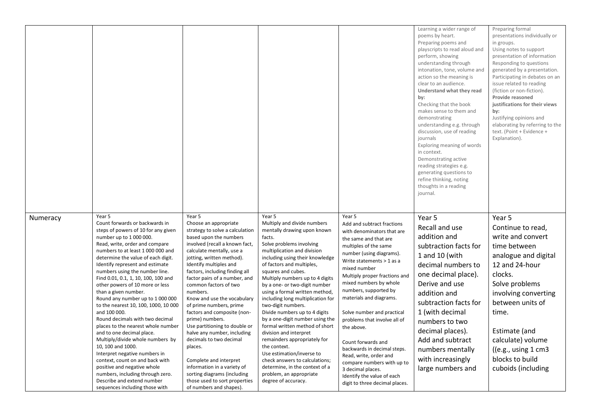|          |                                                                                                                                                                                                                                                                                                                                                                                                                                                                                                                                                                                                                                                                                                                                                                                                                                |                                                                                                                                                                                                                                                                                                                                                                                                                                                                                                                                                                                                                                                                       |                                                                                                                                                                                                                                                                                                                                                                                                                                                                                                                                                                                                                                                                                                                                     |                                                                                                                                                                                                                                                                                                                                                                                                                                                                                                                                                                                            | Learning a wider range of<br>poems by heart.<br>Preparing poems and<br>playscripts to read aloud and<br>perform, showing<br>understanding through<br>intonation, tone, volume and<br>action so the meaning is<br>clear to an audience.<br>Understand what they read<br>by:<br>Checking that the book<br>makes sense to them and<br>demonstrating<br>understanding e.g. through<br>discussion, use of reading<br>journals<br>Exploring meaning of words<br>in context.<br>Demonstrating active<br>reading strategies e.g.<br>generating questions to<br>refine thinking, noting<br>thoughts in a reading<br>journal. | Preparing formal<br>presentations individually or<br>in groups.<br>Using notes to support<br>presentation of information<br>Responding to questions<br>generated by a presentation.<br>Participating in debates on an<br>issue related to reading<br>(fiction or non-fiction).<br>Provide reasoned<br>justifications for their views<br>by:<br>Justifying opinions and<br>elaborating by referring to the<br>text. (Point + Evidence +<br>Explanation). |
|----------|--------------------------------------------------------------------------------------------------------------------------------------------------------------------------------------------------------------------------------------------------------------------------------------------------------------------------------------------------------------------------------------------------------------------------------------------------------------------------------------------------------------------------------------------------------------------------------------------------------------------------------------------------------------------------------------------------------------------------------------------------------------------------------------------------------------------------------|-----------------------------------------------------------------------------------------------------------------------------------------------------------------------------------------------------------------------------------------------------------------------------------------------------------------------------------------------------------------------------------------------------------------------------------------------------------------------------------------------------------------------------------------------------------------------------------------------------------------------------------------------------------------------|-------------------------------------------------------------------------------------------------------------------------------------------------------------------------------------------------------------------------------------------------------------------------------------------------------------------------------------------------------------------------------------------------------------------------------------------------------------------------------------------------------------------------------------------------------------------------------------------------------------------------------------------------------------------------------------------------------------------------------------|--------------------------------------------------------------------------------------------------------------------------------------------------------------------------------------------------------------------------------------------------------------------------------------------------------------------------------------------------------------------------------------------------------------------------------------------------------------------------------------------------------------------------------------------------------------------------------------------|---------------------------------------------------------------------------------------------------------------------------------------------------------------------------------------------------------------------------------------------------------------------------------------------------------------------------------------------------------------------------------------------------------------------------------------------------------------------------------------------------------------------------------------------------------------------------------------------------------------------|---------------------------------------------------------------------------------------------------------------------------------------------------------------------------------------------------------------------------------------------------------------------------------------------------------------------------------------------------------------------------------------------------------------------------------------------------------|
| Numeracy | Year 5<br>Count forwards or backwards in<br>steps of powers of 10 for any given<br>number up to 1 000 000.<br>Read, write, order and compare<br>numbers to at least 1 000 000 and<br>determine the value of each digit.<br>Identify represent and estimate<br>numbers using the number line.<br>Find 0.01, 0.1, 1, 10, 100, 100 and<br>other powers of 10 more or less<br>than a given number.<br>Round any number up to 1 000 000<br>to the nearest 10, 100, 1000, 10 000<br>and 100 000.<br>Round decimals with two decimal<br>places to the nearest whole number<br>and to one decimal place.<br>Multiply/divide whole numbers by<br>10, 100 and 1000.<br>Interpret negative numbers in<br>context, count on and back with<br>positive and negative whole<br>numbers, including through zero.<br>Describe and extend number | Year 5<br>Choose an appropriate<br>strategy to solve a calculation<br>based upon the numbers<br>involved (recall a known fact,<br>calculate mentally, use a<br>jotting, written method).<br>Identify multiples and<br>factors, including finding all<br>factor pairs of a number, and<br>common factors of two<br>numbers.<br>Know and use the vocabulary<br>of prime numbers, prime<br>factors and composite (non-<br>prime) numbers.<br>Use partitioning to double or<br>halve any number, including<br>decimals to two decimal<br>places.<br>Complete and interpret<br>information in a variety of<br>sorting diagrams (including<br>those used to sort properties | Year 5<br>Multiply and divide numbers<br>mentally drawing upon known<br>facts.<br>Solve problems involving<br>multiplication and division<br>including using their knowledge<br>of factors and multiples,<br>squares and cubes.<br>Multiply numbers up to 4 digits<br>by a one- or two-digit number<br>using a formal written method,<br>including long multiplication for<br>two-digit numbers.<br>Divide numbers up to 4 digits<br>by a one-digit number using the<br>formal written method of short<br>division and interpret<br>remainders appropriately for<br>the context.<br>Use estimation/inverse to<br>check answers to calculations;<br>determine, in the context of a<br>problem, an appropriate<br>degree of accuracy. | Year 5<br>Add and subtract fractions<br>with denominators that are<br>the same and that are<br>multiples of the same<br>number (using diagrams).<br>Write statements > 1 as a<br>mixed number<br>Multiply proper fractions and<br>mixed numbers by whole<br>numbers, supported by<br>materials and diagrams.<br>Solve number and practical<br>problems that involve all of<br>the above.<br>Count forwards and<br>backwards in decimal steps.<br>Read, write, order and<br>compare numbers with up to<br>3 decimal places.<br>Identify the value of each<br>digit to three decimal places. | Year 5<br>Recall and use<br>addition and<br>subtraction facts for<br>1 and 10 (with<br>decimal numbers to<br>one decimal place).<br>Derive and use<br>addition and<br>subtraction facts for<br>1 (with decimal<br>numbers to two<br>decimal places).<br>Add and subtract<br>numbers mentally<br>with increasingly<br>large numbers and                                                                                                                                                                                                                                                                              | Year 5<br>Continue to read,<br>write and convert<br>time between<br>analogue and digital<br>12 and 24-hour<br>clocks.<br>Solve problems<br>involving converting<br>between units of<br>time.<br>Estimate (and<br>calculate) volume<br>((e.g., using 1 cm3))<br>blocks to build<br>cuboids (including                                                                                                                                                    |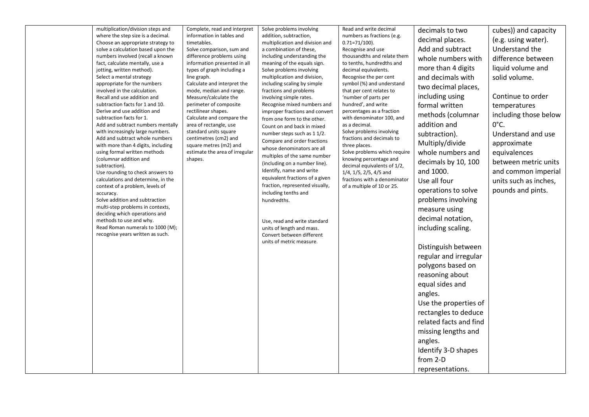| multiplication/division steps and<br>where the step size is a decimal.<br>Choose an appropriate strategy to<br>solve a calculation based upon the<br>numbers involved (recall a known<br>fact, calculate mentally, use a<br>jotting, written method).<br>Select a mental strategy<br>appropriate for the numbers<br>involved in the calculation.<br>Recall and use addition and<br>subtraction facts for 1 and 10.<br>Derive and use addition and<br>subtraction facts for 1.<br>Add and subtract numbers mentally<br>with increasingly large numbers.<br>Add and subtract whole numbers<br>with more than 4 digits, including<br>using formal written methods<br>(columnar addition and<br>subtraction).<br>Use rounding to check answers to<br>calculations and determine, in the<br>context of a problem, levels of<br>accuracy.<br>Solve addition and subtraction<br>multi-step problems in contexts,<br>deciding which operations and<br>methods to use and why.<br>Read Roman numerals to 1000 (M);<br>recognise years written as such. | Complete, read and interpret<br>information in tables and<br>timetables.<br>Solve comparison, sum and<br>difference problems using<br>information presented in all<br>types of graph including a<br>line graph.<br>Calculate and interpret the<br>mode, median and range.<br>Measure/calculate the<br>perimeter of composite<br>rectilinear shapes.<br>Calculate and compare the<br>area of rectangle, use<br>standard units square<br>centimetres (cm2) and<br>square metres (m2) and<br>estimate the area of irregular<br>shapes. | Solve problems involving<br>addition, subtraction,<br>multiplication and division and<br>a combination of these,<br>including understanding the<br>meaning of the equals sign.<br>Solve problems involving<br>multiplication and division,<br>including scaling by simple<br>fractions and problems<br>involving simple rates.<br>Recognise mixed numbers and<br>improper fractions and convert<br>from one form to the other.<br>Count on and back in mixed<br>number steps such as 1 1/2.<br>Compare and order fractions<br>whose denominators are all<br>multiples of the same number<br>(including on a number line).<br>Identify, name and write<br>equivalent fractions of a given<br>fraction, represented visually,<br>including tenths and<br>hundredths.<br>Use, read and write standard<br>units of length and mass.<br>Convert between different<br>units of metric measure. | Read and write decimal<br>numbers as fractions (e.g.<br>$0.71 = 71/100$ .<br>Recognise and use<br>thousandths and relate them<br>to tenths, hundredths and<br>decimal equivalents.<br>Recognise the per cent<br>symbol (%) and understand<br>that per cent relates to<br>'number of parts per<br>hundred', and write<br>percentages as a fraction<br>with denominator 100, and<br>as a decimal.<br>Solve problems involving<br>fractions and decimals to<br>three places.<br>Solve problems which require<br>knowing percentage and<br>decimal equivalents of 1/2,<br>$1/4$ , $1/5$ , $2/5$ , $4/5$ and<br>fractions with a denominator<br>of a multiple of 10 or 25. | decimals to two<br>decimal places.<br>Add and subtract<br>whole numbers with<br>more than 4 digits<br>and decimals with<br>two decimal places,<br>including using<br>formal written<br>methods (columnar<br>addition and<br>subtraction).<br>Multiply/divide<br>whole numbers and<br>decimals by 10, 100<br>and 1000.<br>Use all four<br>operations to solve<br>problems involving<br>measure using<br>decimal notation,<br>including scaling.<br>Distinguish between<br>regular and irregular<br>polygons based on<br>reasoning about<br>equal sides and<br>angles.<br>Use the properties of<br>rectangles to deduce<br>related facts and find<br>missing lengths and<br>angles.<br>Identify 3-D shapes<br>from 2-D | cubes)) and capacity<br>(e.g. using water).<br>Understand the<br>difference between<br>liquid volume and<br>solid volume.<br>Continue to order<br>temperatures<br>including those below<br>$0^{\circ}$ C.<br>Understand and use<br>approximate<br>equivalences<br>between metric units<br>and common imperial<br>units such as inches,<br>pounds and pints. |
|-----------------------------------------------------------------------------------------------------------------------------------------------------------------------------------------------------------------------------------------------------------------------------------------------------------------------------------------------------------------------------------------------------------------------------------------------------------------------------------------------------------------------------------------------------------------------------------------------------------------------------------------------------------------------------------------------------------------------------------------------------------------------------------------------------------------------------------------------------------------------------------------------------------------------------------------------------------------------------------------------------------------------------------------------|-------------------------------------------------------------------------------------------------------------------------------------------------------------------------------------------------------------------------------------------------------------------------------------------------------------------------------------------------------------------------------------------------------------------------------------------------------------------------------------------------------------------------------------|------------------------------------------------------------------------------------------------------------------------------------------------------------------------------------------------------------------------------------------------------------------------------------------------------------------------------------------------------------------------------------------------------------------------------------------------------------------------------------------------------------------------------------------------------------------------------------------------------------------------------------------------------------------------------------------------------------------------------------------------------------------------------------------------------------------------------------------------------------------------------------------|-----------------------------------------------------------------------------------------------------------------------------------------------------------------------------------------------------------------------------------------------------------------------------------------------------------------------------------------------------------------------------------------------------------------------------------------------------------------------------------------------------------------------------------------------------------------------------------------------------------------------------------------------------------------------|----------------------------------------------------------------------------------------------------------------------------------------------------------------------------------------------------------------------------------------------------------------------------------------------------------------------------------------------------------------------------------------------------------------------------------------------------------------------------------------------------------------------------------------------------------------------------------------------------------------------------------------------------------------------------------------------------------------------|-------------------------------------------------------------------------------------------------------------------------------------------------------------------------------------------------------------------------------------------------------------------------------------------------------------------------------------------------------------|
|                                                                                                                                                                                                                                                                                                                                                                                                                                                                                                                                                                                                                                                                                                                                                                                                                                                                                                                                                                                                                                               |                                                                                                                                                                                                                                                                                                                                                                                                                                                                                                                                     |                                                                                                                                                                                                                                                                                                                                                                                                                                                                                                                                                                                                                                                                                                                                                                                                                                                                                          |                                                                                                                                                                                                                                                                                                                                                                                                                                                                                                                                                                                                                                                                       | representations.                                                                                                                                                                                                                                                                                                                                                                                                                                                                                                                                                                                                                                                                                                     |                                                                                                                                                                                                                                                                                                                                                             |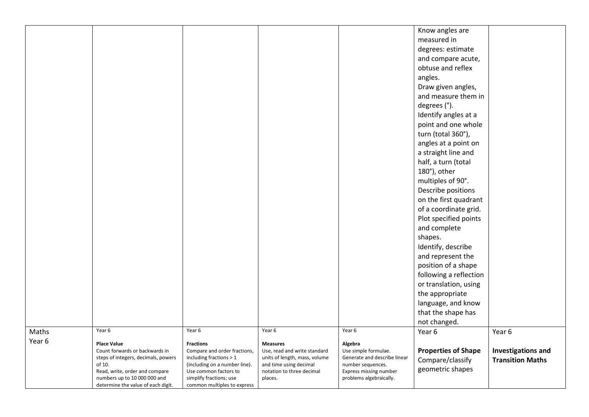|        |                                               |                                                          |                                                         |                                                   | Know angles are            |                           |
|--------|-----------------------------------------------|----------------------------------------------------------|---------------------------------------------------------|---------------------------------------------------|----------------------------|---------------------------|
|        |                                               |                                                          |                                                         |                                                   | measured in                |                           |
|        |                                               |                                                          |                                                         |                                                   | degrees: estimate          |                           |
|        |                                               |                                                          |                                                         |                                                   | and compare acute,         |                           |
|        |                                               |                                                          |                                                         |                                                   | obtuse and reflex          |                           |
|        |                                               |                                                          |                                                         |                                                   | angles.                    |                           |
|        |                                               |                                                          |                                                         |                                                   |                            |                           |
|        |                                               |                                                          |                                                         |                                                   | Draw given angles,         |                           |
|        |                                               |                                                          |                                                         |                                                   | and measure them in        |                           |
|        |                                               |                                                          |                                                         |                                                   | degrees (°).               |                           |
|        |                                               |                                                          |                                                         |                                                   | Identify angles at a       |                           |
|        |                                               |                                                          |                                                         |                                                   | point and one whole        |                           |
|        |                                               |                                                          |                                                         |                                                   | turn (total 360°),         |                           |
|        |                                               |                                                          |                                                         |                                                   | angles at a point on       |                           |
|        |                                               |                                                          |                                                         |                                                   | a straight line and        |                           |
|        |                                               |                                                          |                                                         |                                                   | half, a turn (total        |                           |
|        |                                               |                                                          |                                                         |                                                   | 180°), other               |                           |
|        |                                               |                                                          |                                                         |                                                   | multiples of 90°.          |                           |
|        |                                               |                                                          |                                                         |                                                   | Describe positions         |                           |
|        |                                               |                                                          |                                                         |                                                   | on the first quadrant      |                           |
|        |                                               |                                                          |                                                         |                                                   | of a coordinate grid.      |                           |
|        |                                               |                                                          |                                                         |                                                   | Plot specified points      |                           |
|        |                                               |                                                          |                                                         |                                                   | and complete               |                           |
|        |                                               |                                                          |                                                         |                                                   | shapes.                    |                           |
|        |                                               |                                                          |                                                         |                                                   | Identify, describe         |                           |
|        |                                               |                                                          |                                                         |                                                   | and represent the          |                           |
|        |                                               |                                                          |                                                         |                                                   | position of a shape        |                           |
|        |                                               |                                                          |                                                         |                                                   | following a reflection     |                           |
|        |                                               |                                                          |                                                         |                                                   | or translation, using      |                           |
|        |                                               |                                                          |                                                         |                                                   | the appropriate            |                           |
|        |                                               |                                                          |                                                         |                                                   | language, and know         |                           |
|        |                                               |                                                          |                                                         |                                                   | that the shape has         |                           |
|        |                                               |                                                          |                                                         |                                                   | not changed.               |                           |
| Maths  | Year 6                                        | Year 6                                                   | Year 6                                                  | Year 6                                            | Year 6                     | Year 6                    |
| Year 6 | <b>Place Value</b>                            | <b>Fractions</b>                                         | <b>Measures</b>                                         | Algebra                                           |                            |                           |
|        | Count forwards or backwards in                | Compare and order fractions,                             | Use, read and write standard                            | Use simple formulae.                              | <b>Properties of Shape</b> | <b>Investigations and</b> |
|        | steps of integers, decimals, powers<br>of 10. | including fractions > 1<br>(including on a number line). | units of length, mass, volume<br>and time using decimal | Generate and describe linear<br>number sequences. | Compare/classify           | <b>Transition Maths</b>   |
|        | Read, write, order and compare                | Use common factors to                                    | notation to three decimal                               | Express missing number                            | geometric shapes           |                           |
|        | numbers up to 10 000 000 and                  | simplify fractions; use                                  | places.                                                 | problems algebraically.                           |                            |                           |
|        | determine the value of each digit.            | common multiples to express                              |                                                         |                                                   |                            |                           |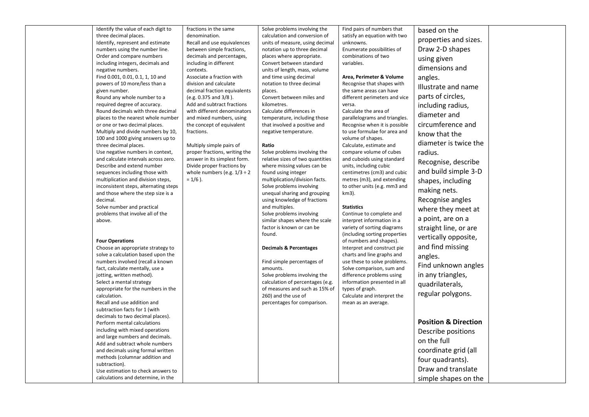| Identify the value of each digit to                                     | fractions in the same                                      | Solve problems involving the                                    | Find pairs of numbers that                                | based on the                    |  |
|-------------------------------------------------------------------------|------------------------------------------------------------|-----------------------------------------------------------------|-----------------------------------------------------------|---------------------------------|--|
| three decimal places.                                                   | denomination.                                              | calculation and conversion of                                   | satisfy an equation with two                              | properties and sizes.           |  |
| Identify, represent and estimate                                        | Recall and use equivalences                                | units of measure, using decimal                                 | unknowns.                                                 |                                 |  |
| numbers using the number line.<br>Order and compare numbers             | between simple fractions,                                  | notation up to three decimal                                    | Enumerate possibilities of<br>combinations of two         | Draw 2-D shapes                 |  |
| including integers, decimals and                                        | decimals and percentages,<br>including in different        | places where appropriate.<br>Convert between standard           | variables.                                                | using given                     |  |
| negative numbers.                                                       | contexts.                                                  | units of length, mass, volume                                   |                                                           | dimensions and                  |  |
| Find 0.001, 0.01, 0.1, 1, 10 and                                        | Associate a fraction with                                  | and time using decimal                                          | Area, Perimeter & Volume                                  | angles.                         |  |
| powers of 10 more/less than a                                           | division and calculate                                     | notation to three decimal                                       | Recognise that shapes with                                |                                 |  |
| given number.                                                           | decimal fraction equivalents                               | places.                                                         | the same areas can have                                   | Illustrate and name             |  |
| Round any whole number to a                                             | (e.g. 0.375 and 3/8).                                      | Convert between miles and                                       | different perimeters and vice                             | parts of circles,               |  |
| required degree of accuracy.                                            | Add and subtract fractions                                 | kilometres.                                                     | versa.                                                    | including radius,               |  |
| Round decimals with three decimal                                       | with different denominators                                | Calculate differences in                                        | Calculate the area of                                     |                                 |  |
| places to the nearest whole number                                      | and mixed numbers, using                                   | temperature, including those                                    | parallelograms and triangles.                             | diameter and                    |  |
| or one or two decimal places.                                           | the concept of equivalent                                  | that involved a positive and                                    | Recognise when it is possible                             | circumference and               |  |
| Multiply and divide numbers by 10,<br>100 and 1000 giving answers up to | fractions.                                                 | negative temperature.                                           | to use formulae for area and<br>volume of shapes.         | know that the                   |  |
| three decimal places.                                                   | Multiply simple pairs of                                   | Ratio                                                           | Calculate, estimate and                                   | diameter is twice the           |  |
| Use negative numbers in context,                                        | proper fractions, writing the                              | Solve problems involving the                                    | compare volume of cubes                                   | radius.                         |  |
| and calculate intervals across zero.<br>Describe and extend number      | answer in its simplest form.<br>Divide proper fractions by | relative sizes of two quantities<br>where missing values can be | and cuboids using standard<br>units, including cubic      | Recognise, describe             |  |
| sequences including those with                                          | whole numbers (e.g. $1/3 \div 2$                           | found using integer                                             | centimetres (cm3) and cubic                               | and build simple 3-D            |  |
| multiplication and division steps,                                      | $= 1/6$ ).                                                 | multiplication/division facts.                                  | metres (m3), and extending                                | shapes, including               |  |
| inconsistent steps, alternating steps                                   |                                                            | Solve problems involving                                        | to other units (e.g. mm3 and                              |                                 |  |
| and those where the step size is a                                      |                                                            | unequal sharing and grouping                                    | km3).                                                     | making nets.                    |  |
| decimal.                                                                |                                                            | using knowledge of fractions                                    |                                                           | Recognise angles                |  |
| Solve number and practical                                              |                                                            | and multiples.                                                  | <b>Statistics</b>                                         | where they meet at              |  |
| problems that involve all of the                                        |                                                            | Solve problems involving                                        | Continue to complete and                                  |                                 |  |
| above.                                                                  |                                                            | similar shapes where the scale                                  | interpret information in a                                | a point, are on a               |  |
|                                                                         |                                                            | factor is known or can be                                       | variety of sorting diagrams                               | straight line, or are           |  |
|                                                                         |                                                            | found.                                                          | (including sorting properties                             | vertically opposite,            |  |
| <b>Four Operations</b>                                                  |                                                            |                                                                 | of numbers and shapes).                                   | and find missing                |  |
| Choose an appropriate strategy to<br>solve a calculation based upon the |                                                            | <b>Decimals &amp; Percentages</b>                               | Interpret and construct pie<br>charts and line graphs and |                                 |  |
| numbers involved (recall a known                                        |                                                            | Find simple percentages of                                      | use these to solve problems.                              | angles.                         |  |
| fact, calculate mentally, use a                                         |                                                            | amounts.                                                        | Solve comparison, sum and                                 | Find unknown angles             |  |
| jotting, written method).                                               |                                                            | Solve problems involving the                                    | difference problems using                                 | in any triangles,               |  |
| Select a mental strategy                                                |                                                            | calculation of percentages (e.g.                                | information presented in all                              | quadrilaterals,                 |  |
| appropriate for the numbers in the                                      |                                                            | of measures and such as 15% of                                  | types of graph.                                           |                                 |  |
| calculation.                                                            |                                                            | 260) and the use of                                             | Calculate and interpret the                               | regular polygons.               |  |
| Recall and use addition and                                             |                                                            | percentages for comparison.                                     | mean as an average.                                       |                                 |  |
| subtraction facts for 1 (with                                           |                                                            |                                                                 |                                                           |                                 |  |
| decimals to two decimal places).                                        |                                                            |                                                                 |                                                           |                                 |  |
| Perform mental calculations                                             |                                                            |                                                                 |                                                           | <b>Position &amp; Direction</b> |  |
| including with mixed operations                                         |                                                            |                                                                 |                                                           | Describe positions              |  |
| and large numbers and decimals.                                         |                                                            |                                                                 |                                                           | on the full                     |  |
| Add and subtract whole numbers<br>and decimals using formal written     |                                                            |                                                                 |                                                           | coordinate grid (all            |  |
| methods (columnar addition and                                          |                                                            |                                                                 |                                                           |                                 |  |
| subtraction).                                                           |                                                            |                                                                 |                                                           | four quadrants).                |  |
| Use estimation to check answers to                                      |                                                            |                                                                 |                                                           | Draw and translate              |  |
| calculations and determine, in the                                      |                                                            |                                                                 |                                                           | simple shapes on the            |  |
|                                                                         |                                                            |                                                                 |                                                           |                                 |  |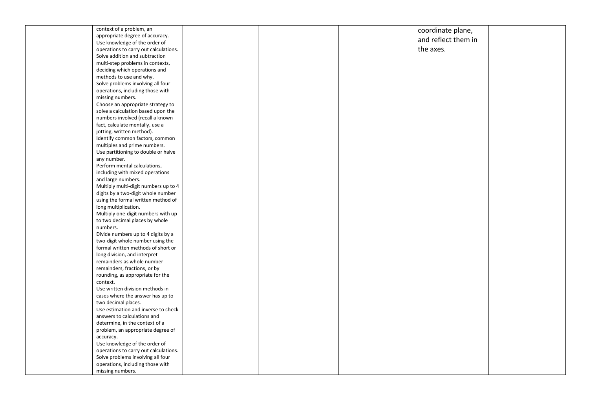| context of a problem, an              |  | coordinate plane,   |  |
|---------------------------------------|--|---------------------|--|
| appropriate degree of accuracy.       |  |                     |  |
| Use knowledge of the order of         |  | and reflect them in |  |
| operations to carry out calculations. |  | the axes.           |  |
| Solve addition and subtraction        |  |                     |  |
| multi-step problems in contexts,      |  |                     |  |
| deciding which operations and         |  |                     |  |
| methods to use and why.               |  |                     |  |
| Solve problems involving all four     |  |                     |  |
| operations, including those with      |  |                     |  |
| missing numbers.                      |  |                     |  |
| Choose an appropriate strategy to     |  |                     |  |
| solve a calculation based upon the    |  |                     |  |
| numbers involved (recall a known      |  |                     |  |
| fact, calculate mentally, use a       |  |                     |  |
| jotting, written method).             |  |                     |  |
| Identify common factors, common       |  |                     |  |
| multiples and prime numbers.          |  |                     |  |
| Use partitioning to double or halve   |  |                     |  |
| any number.                           |  |                     |  |
| Perform mental calculations,          |  |                     |  |
| including with mixed operations       |  |                     |  |
| and large numbers.                    |  |                     |  |
| Multiply multi-digit numbers up to 4  |  |                     |  |
| digits by a two-digit whole number    |  |                     |  |
| using the formal written method of    |  |                     |  |
| long multiplication.                  |  |                     |  |
| Multiply one-digit numbers with up    |  |                     |  |
| to two decimal places by whole        |  |                     |  |
| numbers.                              |  |                     |  |
| Divide numbers up to 4 digits by a    |  |                     |  |
| two-digit whole number using the      |  |                     |  |
| formal written methods of short or    |  |                     |  |
| long division, and interpret          |  |                     |  |
| remainders as whole number            |  |                     |  |
| remainders, fractions, or by          |  |                     |  |
| rounding, as appropriate for the      |  |                     |  |
| context.                              |  |                     |  |
| Use written division methods in       |  |                     |  |
| cases where the answer has up to      |  |                     |  |
| two decimal places.                   |  |                     |  |
| Use estimation and inverse to check   |  |                     |  |
| answers to calculations and           |  |                     |  |
| determine, in the context of a        |  |                     |  |
| problem, an appropriate degree of     |  |                     |  |
| accuracy.                             |  |                     |  |
| Use knowledge of the order of         |  |                     |  |
| operations to carry out calculations. |  |                     |  |
| Solve problems involving all four     |  |                     |  |
| operations, including those with      |  |                     |  |
| missing numbers.                      |  |                     |  |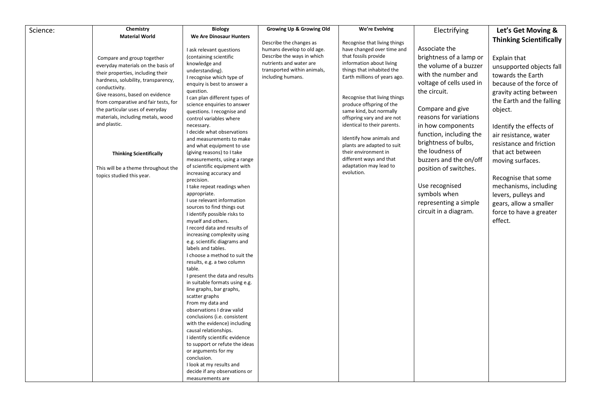| Science: | Chemistry                            | <b>Biology</b>                                          | <b>Growing Up &amp; Growing Old</b> | We're Evolving                       | Electrifying             | Let's Get Moving &             |
|----------|--------------------------------------|---------------------------------------------------------|-------------------------------------|--------------------------------------|--------------------------|--------------------------------|
|          | <b>Material World</b>                | We Are Dinosaur Hunters                                 |                                     |                                      |                          |                                |
|          |                                      |                                                         | Describe the changes as             | Recognise that living things         |                          | <b>Thinking Scientifically</b> |
|          |                                      | I ask relevant questions                                | humans develop to old age.          | have changed over time and           | Associate the            |                                |
|          | Compare and group together           | (containing scientific                                  | Describe the ways in which          | that fossils provide                 | brightness of a lamp or  | Explain that                   |
|          | everyday materials on the basis of   | knowledge and                                           | nutrients and water are             | information about living             | the volume of a buzzer   | unsupported objects fall       |
|          | their properties, including their    | understanding).                                         | transported within animals,         | things that inhabited the            | with the number and      | towards the Earth              |
|          | hardness, solubility, transparency,  | I recognise which type of                               | including humans.                   | Earth millions of years ago.         | voltage of cells used in |                                |
|          | conductivity.                        | enquiry is best to answer a                             |                                     |                                      |                          | because of the force of        |
|          | Give reasons, based on evidence      | question.<br>I can plan different types of              |                                     | Recognise that living things         | the circuit.             | gravity acting between         |
|          | from comparative and fair tests, for | science enquiries to answer                             |                                     | produce offspring of the             |                          | the Earth and the falling      |
|          | the particular uses of everyday      | questions. I recognise and                              |                                     | same kind, but normally              | Compare and give         | object.                        |
|          | materials, including metals, wood    | control variables where                                 |                                     | offspring vary and are not           | reasons for variations   |                                |
|          | and plastic.                         | necessary.                                              |                                     | identical to their parents.          | in how components        | Identify the effects of        |
|          |                                      | I decide what observations                              |                                     |                                      | function, including the  | air resistance, water          |
|          |                                      | and measurements to make                                |                                     | Identify how animals and             | brightness of bulbs,     | resistance and friction        |
|          |                                      | and what equipment to use                               |                                     | plants are adapted to suit           | the loudness of          |                                |
|          | <b>Thinking Scientifically</b>       | (giving reasons) to I take                              |                                     | their environment in                 |                          | that act between               |
|          |                                      | measurements, using a range                             |                                     | different ways and that              | buzzers and the on/off   | moving surfaces.               |
|          | This will be a theme throughout the  | of scientific equipment with                            |                                     | adaptation may lead to<br>evolution. | position of switches.    |                                |
|          | topics studied this year.            | increasing accuracy and<br>precision.                   |                                     |                                      |                          | Recognise that some            |
|          |                                      | I take repeat readings when                             |                                     |                                      | Use recognised           | mechanisms, including          |
|          |                                      | appropriate.                                            |                                     |                                      | symbols when             | levers, pulleys and            |
|          |                                      | I use relevant information                              |                                     |                                      | representing a simple    |                                |
|          |                                      | sources to find things out                              |                                     |                                      |                          | gears, allow a smaller         |
|          |                                      | I identify possible risks to                            |                                     |                                      | circuit in a diagram.    | force to have a greater        |
|          |                                      | myself and others.                                      |                                     |                                      |                          | effect.                        |
|          |                                      | I record data and results of                            |                                     |                                      |                          |                                |
|          |                                      | increasing complexity using                             |                                     |                                      |                          |                                |
|          |                                      | e.g. scientific diagrams and                            |                                     |                                      |                          |                                |
|          |                                      | labels and tables.<br>I choose a method to suit the     |                                     |                                      |                          |                                |
|          |                                      | results, e.g. a two column                              |                                     |                                      |                          |                                |
|          |                                      | table.                                                  |                                     |                                      |                          |                                |
|          |                                      | I present the data and results                          |                                     |                                      |                          |                                |
|          |                                      | in suitable formats using e.g.                          |                                     |                                      |                          |                                |
|          |                                      | line graphs, bar graphs,                                |                                     |                                      |                          |                                |
|          |                                      | scatter graphs                                          |                                     |                                      |                          |                                |
|          |                                      | From my data and                                        |                                     |                                      |                          |                                |
|          |                                      | observations I draw valid                               |                                     |                                      |                          |                                |
|          |                                      | conclusions (i.e. consistent                            |                                     |                                      |                          |                                |
|          |                                      | with the evidence) including                            |                                     |                                      |                          |                                |
|          |                                      | causal relationships.<br>I identify scientific evidence |                                     |                                      |                          |                                |
|          |                                      | to support or refute the ideas                          |                                     |                                      |                          |                                |
|          |                                      | or arguments for my                                     |                                     |                                      |                          |                                |
|          |                                      | conclusion.                                             |                                     |                                      |                          |                                |
|          |                                      | I look at my results and                                |                                     |                                      |                          |                                |
|          |                                      | decide if any observations or                           |                                     |                                      |                          |                                |
|          |                                      | measurements are                                        |                                     |                                      |                          |                                |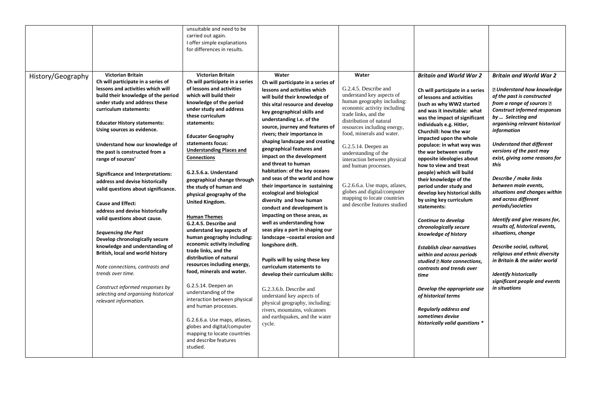|                   |                                                                                                                                                                                                                                                                                                                                                                                                                                                                                                                                                                                                                                                                                                                                                                                                                                                                                            | unsuitable and need to be<br>carried out again.<br>I offer simple explanations<br>for differences in results.                                                                                                                                                                                                                                                                                                                                                                                                                                                                                                                                                                                                                                                                                                                                                                                                                                                |                                                                                                                                                                                                                                                                                                                                                                                                                                                                                                                                                                                                                                                                                                                                                                                                                                                                                                                                                                                                                          |                                                                                                                                                                                                                                                                                                                                                                                                                                                                                |                                                                                                                                                                                                                                                                                                                                                                                                                                                                                                                                                                                                                                                                                                                                                                                                                                                                                                                       |                                                                                                                                                                                                                                                                                                                                                                                                                                                                                                                                                                                                                                                                                                                                                                            |
|-------------------|--------------------------------------------------------------------------------------------------------------------------------------------------------------------------------------------------------------------------------------------------------------------------------------------------------------------------------------------------------------------------------------------------------------------------------------------------------------------------------------------------------------------------------------------------------------------------------------------------------------------------------------------------------------------------------------------------------------------------------------------------------------------------------------------------------------------------------------------------------------------------------------------|--------------------------------------------------------------------------------------------------------------------------------------------------------------------------------------------------------------------------------------------------------------------------------------------------------------------------------------------------------------------------------------------------------------------------------------------------------------------------------------------------------------------------------------------------------------------------------------------------------------------------------------------------------------------------------------------------------------------------------------------------------------------------------------------------------------------------------------------------------------------------------------------------------------------------------------------------------------|--------------------------------------------------------------------------------------------------------------------------------------------------------------------------------------------------------------------------------------------------------------------------------------------------------------------------------------------------------------------------------------------------------------------------------------------------------------------------------------------------------------------------------------------------------------------------------------------------------------------------------------------------------------------------------------------------------------------------------------------------------------------------------------------------------------------------------------------------------------------------------------------------------------------------------------------------------------------------------------------------------------------------|--------------------------------------------------------------------------------------------------------------------------------------------------------------------------------------------------------------------------------------------------------------------------------------------------------------------------------------------------------------------------------------------------------------------------------------------------------------------------------|-----------------------------------------------------------------------------------------------------------------------------------------------------------------------------------------------------------------------------------------------------------------------------------------------------------------------------------------------------------------------------------------------------------------------------------------------------------------------------------------------------------------------------------------------------------------------------------------------------------------------------------------------------------------------------------------------------------------------------------------------------------------------------------------------------------------------------------------------------------------------------------------------------------------------|----------------------------------------------------------------------------------------------------------------------------------------------------------------------------------------------------------------------------------------------------------------------------------------------------------------------------------------------------------------------------------------------------------------------------------------------------------------------------------------------------------------------------------------------------------------------------------------------------------------------------------------------------------------------------------------------------------------------------------------------------------------------------|
| History/Geography | <b>Victorian Britain</b><br>Ch will participate in a series of<br>lessons and activities which will<br>build their knowledge of the period<br>under study and address these<br>curriculum statements:<br><b>Educater History statements:</b><br>Using sources as evidence.<br>Understand how our knowledge of<br>the past is constructed from a<br>range of sources'<br><b>Significance and Interpretations:</b><br>address and devise historically<br>valid questions about significance.<br><b>Cause and Effect:</b><br>address and devise historically<br>valid questions about cause.<br><b>Sequencing the Past</b><br>Develop chronologically secure<br>knowledge and understanding of<br>British, local and world history<br>Note connections, contrasts and<br>trends over time.<br>Construct informed responses by<br>selecting and organising historical<br>relevant information. | <b>Victorian Britain</b><br>Ch will participate in a series<br>of lessons and activities<br>which will build their<br>knowledge of the period<br>under study and address<br>these curriculum<br>statements:<br><b>Educater Geography</b><br>statements focus:<br><b>Understanding Places and</b><br><b>Connections</b><br>G.2.5.6.a. Understand<br>geographical change through<br>the study of human and<br>physical geography of the<br>United Kingdom.<br><b>Human Themes</b><br>G.2.4.5. Describe and<br>understand key aspects of<br>human geography including:<br>economic activity including<br>trade links, and the<br>distribution of natural<br>resources including energy,<br>food, minerals and water.<br>G.2.5.14. Deepen an<br>understanding of the<br>interaction between physical<br>and human processes.<br>G.2.6.6.a. Use maps, atlases,<br>globes and digital/computer<br>mapping to locate countries<br>and describe features<br>studied. | Water<br>Ch will participate in a series of<br>lessons and activities which<br>will build their knowledge of<br>this vital resource and develop<br>key geographical skills and<br>understanding I.e. of the<br>source, journey and features of<br>rivers; their importance in<br>shaping landscape and creating<br>geographical features and<br>impact on the development<br>and threat to human<br>habitation: of the key oceans<br>and seas of the world and how<br>their importance in sustaining<br>ecological and biological<br>diversity and how human<br>conduct and development is<br>impacting on these areas, as<br>well as understanding how<br>seas play a part in shaping our<br>landscape -coastal erosion and<br>longshore drift.<br>Pupils will by using these key<br>curriculum statements to<br>develop their curriculum skills:<br>G.2.3.6.b. Describe and<br>understand key aspects of<br>physical geography, including:<br>rivers, mountains, volcanoes<br>and earthquakes, and the water<br>cycle. | Water<br>G.2.4.5. Describe and<br>understand key aspects of<br>human geography including:<br>economic activity including<br>trade links, and the<br>distribution of natural<br>resources including energy,<br>food, minerals and water.<br>G.2.5.14. Deepen an<br>understanding of the<br>interaction between physical<br>and human processes.<br>G.2.6.6.a. Use maps, atlases,<br>globes and digital/computer<br>mapping to locate countries<br>and describe features studied | <b>Britain and World War 2</b><br>Ch will participate in a series<br>of lessons and activities<br>(such as why WW2 started<br>and was it inevitable: what<br>was the impact of significant<br>individuals e.g. Hitler,<br>Churchill: how the war<br>impacted upon the whole<br>populace: in what way was<br>the war between vastly<br>opposite ideologies about<br>how to view and treat<br>people) which will build<br>their knowledge of the<br>period under study and<br>develop key historical skills<br>by using key curriculum<br>statements:<br>Continue to develop<br>chronologically secure<br>knowledge of history<br><b>Establish clear narratives</b><br>within and across periods<br>studied <b>2</b> Note connections,<br>contrasts and trends over<br>time<br>Develop the appropriate use<br>of historical terms<br><b>Regularly address and</b><br>sometimes devise<br>historically valid questions * | <b>Britain and World War 2</b><br><b>Z</b> Understand how knowledge<br>of the past is constructed<br>from a range of sources $\mathbb B$<br><b>Construct informed responses</b><br>by  Selecting and<br>organising relevant historical<br>information<br><b>Understand that different</b><br>versions of the past may<br>exist, giving some reasons for<br>this<br>Describe / make links<br>between main events,<br>situations and changes within<br>and across different<br>periods/societies<br>Identify and give reasons for,<br>results of, historical events,<br>situations, change<br>Describe social, cultural,<br>religious and ethnic diversity<br>in Britain & the wider world<br><b>Identify historically</b><br>significant people and events<br>in situations |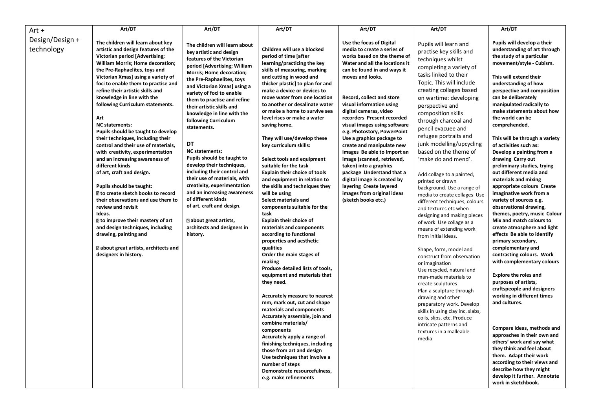| Art +                         | Art/DT                                                                                                                                                                                                                                                                                                                                                                                                                                                                                                                                                                                                                                                                                                                                                                                                                                                                                                                                                             | Art/DT                                                                                                                                                                                                                                                                                                                                                                                                                                                                                                                                                                                                                                                                                                                   | Art/DT                                                                                                                                                                                                                                                                                                                                                                                                                                                                                                                                                                                                                                                                                                                                                                                                                                                                                                                                                                                                                                                                                                                                                                                                                                                                                                               | Art/DT                                                                                                                                                                                                                                                                                                                                                                                                                                                                                                                                                                                                                                                   | Art/DT                                                                                                                                                                                                                                                                                                                                                                                                                                                                                                                                                                                                                                                                                                                                                                                                                                                                                                                                                                                                                                                          | Art/DT                                                                                                                                                                                                                                                                                                                                                                                                                                                                                                                                                                                                                                                                                                                                                                                                                                                                                                                                                                                                                                                                                                                                                                                                                                                                           |
|-------------------------------|--------------------------------------------------------------------------------------------------------------------------------------------------------------------------------------------------------------------------------------------------------------------------------------------------------------------------------------------------------------------------------------------------------------------------------------------------------------------------------------------------------------------------------------------------------------------------------------------------------------------------------------------------------------------------------------------------------------------------------------------------------------------------------------------------------------------------------------------------------------------------------------------------------------------------------------------------------------------|--------------------------------------------------------------------------------------------------------------------------------------------------------------------------------------------------------------------------------------------------------------------------------------------------------------------------------------------------------------------------------------------------------------------------------------------------------------------------------------------------------------------------------------------------------------------------------------------------------------------------------------------------------------------------------------------------------------------------|----------------------------------------------------------------------------------------------------------------------------------------------------------------------------------------------------------------------------------------------------------------------------------------------------------------------------------------------------------------------------------------------------------------------------------------------------------------------------------------------------------------------------------------------------------------------------------------------------------------------------------------------------------------------------------------------------------------------------------------------------------------------------------------------------------------------------------------------------------------------------------------------------------------------------------------------------------------------------------------------------------------------------------------------------------------------------------------------------------------------------------------------------------------------------------------------------------------------------------------------------------------------------------------------------------------------|----------------------------------------------------------------------------------------------------------------------------------------------------------------------------------------------------------------------------------------------------------------------------------------------------------------------------------------------------------------------------------------------------------------------------------------------------------------------------------------------------------------------------------------------------------------------------------------------------------------------------------------------------------|-----------------------------------------------------------------------------------------------------------------------------------------------------------------------------------------------------------------------------------------------------------------------------------------------------------------------------------------------------------------------------------------------------------------------------------------------------------------------------------------------------------------------------------------------------------------------------------------------------------------------------------------------------------------------------------------------------------------------------------------------------------------------------------------------------------------------------------------------------------------------------------------------------------------------------------------------------------------------------------------------------------------------------------------------------------------|----------------------------------------------------------------------------------------------------------------------------------------------------------------------------------------------------------------------------------------------------------------------------------------------------------------------------------------------------------------------------------------------------------------------------------------------------------------------------------------------------------------------------------------------------------------------------------------------------------------------------------------------------------------------------------------------------------------------------------------------------------------------------------------------------------------------------------------------------------------------------------------------------------------------------------------------------------------------------------------------------------------------------------------------------------------------------------------------------------------------------------------------------------------------------------------------------------------------------------------------------------------------------------|
| Design/Design +<br>technology | The children will learn about key<br>artistic and design features of the<br><b>Victorian period [Advertising;</b><br>William Morris; Home decoration;<br>the Pre-Raphaelites, toys and<br>Victorian Xmas] using a variety of<br>foci to enable them to practise and<br>refine their artistic skills and<br>knowledge in line with the<br>following Curriculum statements.<br>Art<br><b>NC</b> statements:<br>Pupils should be taught to develop<br>their techniques, including their<br>control and their use of materials,<br>with creativity, experimentation<br>and an increasing awareness of<br>different kinds<br>of art, craft and design.<br>Pupils should be taught:<br><b>Z</b> to create sketch books to record<br>their observations and use them to<br>review and revisit<br>Ideas.<br>I to improve their mastery of art<br>and design techniques, including<br>drawing, painting and<br>about great artists, architects and<br>designers in history. | The children will learn about<br>key artistic and design<br>features of the Victorian<br>period [Advertising; William<br>Morris; Home decoration;<br>the Pre-Raphaelites, toys<br>and Victorian Xmas] using a<br>variety of foci to enable<br>them to practise and refine<br>their artistic skills and<br>knowledge in line with the<br>following Curriculum<br>statements.<br>DT<br><b>NC</b> statements:<br>Pupils should be taught to<br>develop their techniques,<br>including their control and<br>their use of materials, with<br>creativity, experimentation<br>and an increasing awareness<br>of different kinds<br>of art, craft and design.<br>about great artists,<br>architects and designers in<br>history. | Children will use a blocked<br>period of time [after<br>learning/practicing the key<br>skills of measuring, marking<br>and cutting in wood and<br>thicker plastic] to plan for and<br>make a device or devices to<br>move water from one location<br>to another or desalinate water<br>or make a home to survive sea<br>level rises or make a water<br>saving home.<br>They will use/develop these<br>key curriculum skills:<br>Select tools and equipment<br>suitable for the task<br><b>Explain their choice of tools</b><br>and equipment in relation to<br>the skills and techniques they<br>will be using<br>Select materials and<br>components suitable for the<br>task<br><b>Explain their choice of</b><br>materials and components<br>according to functional<br>properties and aesthetic<br>qualities<br>Order the main stages of<br>making<br>Produce detailed lists of tools,<br>equipment and materials that<br>they need.<br>Accurately measure to nearest<br>mm, mark out, cut and shape<br>materials and components<br>Accurately assemble, join and<br>combine materials/<br>components<br>Accurately apply a range of<br>finishing techniques, including<br>those from art and design<br>Use techniques that involve a<br>number of steps<br>Demonstrate resourcefulness,<br>e.g. make refinements | Use the focus of Digital<br>media to create a series of<br>works based on the theme of<br>Water and all the locations it<br>can be found in and ways it<br>moves and looks.<br>Record, collect and store<br>visual information using<br>digital cameras, video<br>recorders Present recorded<br>visual images using software<br>e.g. Photostory, PowerPoint<br>Use a graphics package to<br>create and manipulate new<br>images Be able to Import an<br>image (scanned, retrieved,<br>taken) into a graphics<br>package Understand that a<br>digital image is created by<br>layering Create layered<br>images from original ideas<br>(sketch books etc.) | Pupils will learn and<br>practise key skills and<br>techniques whilst<br>completing a variety of<br>tasks linked to their<br>Topic. This will include<br>creating collages based<br>on wartime: developing<br>perspective and<br>composition skills<br>through charcoal and<br>pencil evacuee and<br>refugee portraits and<br>junk modelling/upcycling<br>based on the theme of<br>'make do and mend'.<br>Add collage to a painted,<br>printed or drawn<br>background. Use a range of<br>media to create collages Use<br>different techniques, colours<br>and textures etc when<br>designing and making pieces<br>of work Use collage as a<br>means of extending work<br>from initial ideas.<br>Shape, form, model and<br>construct from observation<br>or imagination<br>Use recycled, natural and<br>man-made materials to<br>create sculptures<br>Plan a sculpture through<br>drawing and other<br>preparatory work. Develop<br>skills in using clay inc. slabs,<br>coils, slips, etc. Produce<br>intricate patterns and<br>textures in a malleable<br>media | Pupils will develop a their<br>understanding of art through<br>the study of a particular<br>movement/style - Cubism.<br>This will extend their<br>understanding of how<br>perspective and composition<br>can be deliberately<br>manipulated radically to<br>make statements about how<br>the world can be<br>comprehended.<br>This will be through a variety<br>of activities such as:<br>Develop a painting from a<br>drawing Carry out<br>preliminary studies, trying<br>out different media and<br>materials and mixing<br>appropriate colours Create<br>imaginative work from a<br>variety of sources e.g.<br>observational drawing,<br>themes, poetry, music Colour<br>Mix and match colours to<br>create atmosphere and light<br>effects Be able to identify<br>primary secondary,<br>complementary and<br>contrasting colours. Work<br>with complementary colours<br><b>Explore the roles and</b><br>purposes of artists,<br>craftspeople and designers<br>working in different times<br>and cultures.<br>Compare ideas, methods and<br>approaches in their own and<br>others' work and say what<br>they think and feel about<br>them. Adapt their work<br>according to their views and<br>describe how they might<br>develop it further. Annotate<br>work in sketchbook. |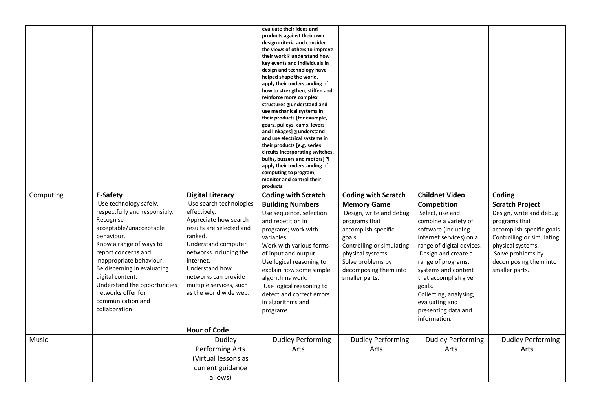|           |                               |                          | evaluate their ideas and<br>products against their own<br>design criteria and consider<br>the views of others to improve |                            |                           |                            |
|-----------|-------------------------------|--------------------------|--------------------------------------------------------------------------------------------------------------------------|----------------------------|---------------------------|----------------------------|
|           |                               |                          | their work <b>D</b> understand how                                                                                       |                            |                           |                            |
|           |                               |                          | key events and individuals in                                                                                            |                            |                           |                            |
|           |                               |                          | design and technology have                                                                                               |                            |                           |                            |
|           |                               |                          | helped shape the world.<br>apply their understanding of                                                                  |                            |                           |                            |
|           |                               |                          | how to strengthen, stiffen and                                                                                           |                            |                           |                            |
|           |                               |                          | reinforce more complex                                                                                                   |                            |                           |                            |
|           |                               |                          | structures ? understand and                                                                                              |                            |                           |                            |
|           |                               |                          | use mechanical systems in                                                                                                |                            |                           |                            |
|           |                               |                          | their products [for example,                                                                                             |                            |                           |                            |
|           |                               |                          | gears, pulleys, cams, levers                                                                                             |                            |                           |                            |
|           |                               |                          | and linkages] 2 understand                                                                                               |                            |                           |                            |
|           |                               |                          | and use electrical systems in<br>their products [e.g. series                                                             |                            |                           |                            |
|           |                               |                          | circuits incorporating switches,                                                                                         |                            |                           |                            |
|           |                               |                          | bulbs, buzzers and motors] ?                                                                                             |                            |                           |                            |
|           |                               |                          | apply their understanding of                                                                                             |                            |                           |                            |
|           |                               |                          | computing to program,                                                                                                    |                            |                           |                            |
|           |                               |                          | monitor and control their                                                                                                |                            |                           |                            |
|           |                               |                          | products                                                                                                                 |                            |                           |                            |
| Computing | E-Safety                      | <b>Digital Literacy</b>  | <b>Coding with Scratch</b>                                                                                               | <b>Coding with Scratch</b> | <b>Childnet Video</b>     | Coding                     |
|           | Use technology safely,        | Use search technologies  | <b>Building Numbers</b>                                                                                                  | <b>Memory Game</b>         | <b>Competition</b>        | <b>Scratch Project</b>     |
|           | respectfully and responsibly. | effectively.             | Use sequence, selection                                                                                                  | Design, write and debug    | Select, use and           | Design, write and debug    |
|           | Recognise                     | Appreciate how search    | and repetition in                                                                                                        | programs that              | combine a variety of      | programs that              |
|           | acceptable/unacceptable       | results are selected and | programs; work with                                                                                                      | accomplish specific        | software (including       | accomplish specific goals. |
|           | behaviour.                    | ranked.                  | variables.                                                                                                               | goals.                     | internet services) on a   | Controlling or simulating  |
|           | Know a range of ways to       | Understand computer      | Work with various forms                                                                                                  | Controlling or simulating  | range of digital devices. | physical systems.          |
|           | report concerns and           | networks including the   | of input and output.                                                                                                     | physical systems.          | Design and create a       | Solve problems by          |
|           | inappropriate behaviour.      | internet.                | Use logical reasoning to                                                                                                 | Solve problems by          | range of programs,        | decomposing them into      |
|           | Be discerning in evaluating   | Understand how           | explain how some simple                                                                                                  | decomposing them into      | systems and content       | smaller parts.             |
|           | digital content.              | networks can provide     | algorithms work.                                                                                                         | smaller parts.             | that accomplish given     |                            |
|           | Understand the opportunities  | multiple services, such  | Use logical reasoning to                                                                                                 |                            | goals.                    |                            |
|           | networks offer for            | as the world wide web.   | detect and correct errors                                                                                                |                            |                           |                            |
|           | communication and             |                          |                                                                                                                          |                            | Collecting, analysing,    |                            |
|           | collaboration                 |                          | in algorithms and                                                                                                        |                            | evaluating and            |                            |
|           |                               |                          | programs.                                                                                                                |                            | presenting data and       |                            |
|           |                               |                          |                                                                                                                          |                            | information.              |                            |
|           |                               | <b>Hour of Code</b>      |                                                                                                                          |                            |                           |                            |
| Music     |                               | Dudley                   | <b>Dudley Performing</b>                                                                                                 | <b>Dudley Performing</b>   | <b>Dudley Performing</b>  | <b>Dudley Performing</b>   |
|           |                               | <b>Performing Arts</b>   | Arts                                                                                                                     | Arts                       | Arts                      | Arts                       |
|           |                               | (Virtual lessons as      |                                                                                                                          |                            |                           |                            |
|           |                               | current guidance         |                                                                                                                          |                            |                           |                            |
|           |                               |                          |                                                                                                                          |                            |                           |                            |
|           |                               | allows)                  |                                                                                                                          |                            |                           |                            |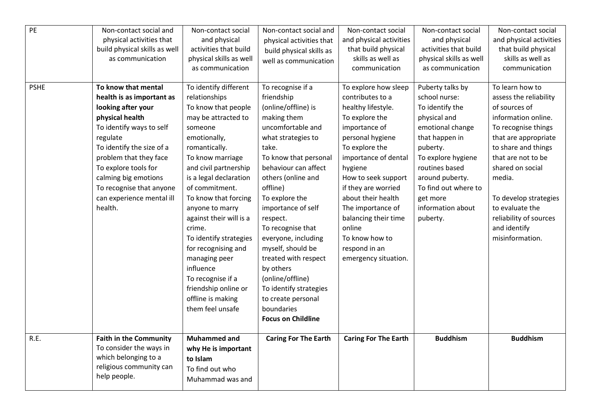| PE          | Non-contact social and<br>physical activities that<br>build physical skills as well<br>as communication                                                                                                                                                                                                      | Non-contact social<br>and physical<br>activities that build<br>physical skills as well<br>as communication                                                                                                                                                                                                                                                                                                                                                                     | Non-contact social and<br>physical activities that<br>build physical skills as<br>well as communication                                                                                                                                                                                                                                                                                                                                                                               | Non-contact social<br>and physical activities<br>that build physical<br>skills as well as<br>communication                                                                                                                                                                                                                                                       | Non-contact social<br>and physical<br>activities that build<br>physical skills as well<br>as communication                                                                                                                                             | Non-contact social<br>and physical activities<br>that build physical<br>skills as well as<br>communication                                                                                                                                                                                                           |
|-------------|--------------------------------------------------------------------------------------------------------------------------------------------------------------------------------------------------------------------------------------------------------------------------------------------------------------|--------------------------------------------------------------------------------------------------------------------------------------------------------------------------------------------------------------------------------------------------------------------------------------------------------------------------------------------------------------------------------------------------------------------------------------------------------------------------------|---------------------------------------------------------------------------------------------------------------------------------------------------------------------------------------------------------------------------------------------------------------------------------------------------------------------------------------------------------------------------------------------------------------------------------------------------------------------------------------|------------------------------------------------------------------------------------------------------------------------------------------------------------------------------------------------------------------------------------------------------------------------------------------------------------------------------------------------------------------|--------------------------------------------------------------------------------------------------------------------------------------------------------------------------------------------------------------------------------------------------------|----------------------------------------------------------------------------------------------------------------------------------------------------------------------------------------------------------------------------------------------------------------------------------------------------------------------|
| <b>PSHE</b> | To know that mental<br>health is as important as<br>looking after your<br>physical health<br>To identify ways to self<br>regulate<br>To identify the size of a<br>problem that they face<br>To explore tools for<br>calming big emotions<br>To recognise that anyone<br>can experience mental ill<br>health. | To identify different<br>relationships<br>To know that people<br>may be attracted to<br>someone<br>emotionally,<br>romantically.<br>To know marriage<br>and civil partnership<br>is a legal declaration<br>of commitment.<br>To know that forcing<br>anyone to marry<br>against their will is a<br>crime.<br>To identify strategies<br>for recognising and<br>managing peer<br>influence<br>To recognise if a<br>friendship online or<br>offline is making<br>them feel unsafe | To recognise if a<br>friendship<br>(online/offline) is<br>making them<br>uncomfortable and<br>what strategies to<br>take.<br>To know that personal<br>behaviour can affect<br>others (online and<br>offline)<br>To explore the<br>importance of self<br>respect.<br>To recognise that<br>everyone, including<br>myself, should be<br>treated with respect<br>by others<br>(online/offline)<br>To identify strategies<br>to create personal<br>boundaries<br><b>Focus on Childline</b> | To explore how sleep<br>contributes to a<br>healthy lifestyle.<br>To explore the<br>importance of<br>personal hygiene<br>To explore the<br>importance of dental<br>hygiene<br>How to seek support<br>if they are worried<br>about their health<br>The importance of<br>balancing their time<br>online<br>To know how to<br>respond in an<br>emergency situation. | Puberty talks by<br>school nurse:<br>To identify the<br>physical and<br>emotional change<br>that happen in<br>puberty.<br>To explore hygiene<br>routines based<br>around puberty.<br>To find out where to<br>get more<br>information about<br>puberty. | To learn how to<br>assess the reliability<br>of sources of<br>information online.<br>To recognise things<br>that are appropriate<br>to share and things<br>that are not to be<br>shared on social<br>media.<br>To develop strategies<br>to evaluate the<br>reliability of sources<br>and identify<br>misinformation. |
| R.E.        | <b>Faith in the Community</b><br>To consider the ways in<br>which belonging to a<br>religious community can<br>help people.                                                                                                                                                                                  | <b>Muhammed and</b><br>why He is important<br>to Islam<br>To find out who<br>Muhammad was and                                                                                                                                                                                                                                                                                                                                                                                  | <b>Caring For The Earth</b>                                                                                                                                                                                                                                                                                                                                                                                                                                                           | <b>Caring For The Earth</b>                                                                                                                                                                                                                                                                                                                                      | <b>Buddhism</b>                                                                                                                                                                                                                                        | <b>Buddhism</b>                                                                                                                                                                                                                                                                                                      |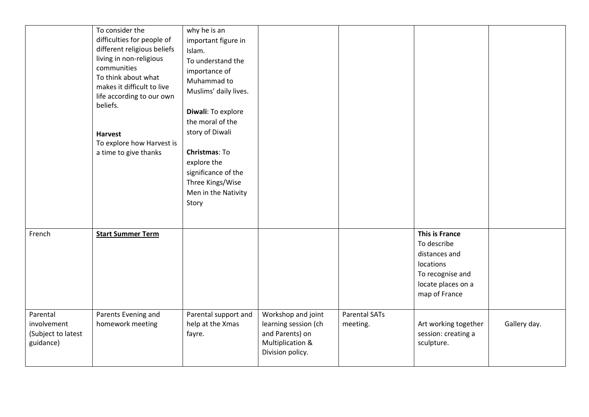|                                                            | To consider the<br>difficulties for people of<br>different religious beliefs<br>living in non-religious<br>communities<br>To think about what<br>makes it difficult to live<br>life according to our own<br>beliefs.<br><b>Harvest</b><br>To explore how Harvest is<br>a time to give thanks | why he is an<br>important figure in<br>Islam.<br>To understand the<br>importance of<br>Muhammad to<br>Muslims' daily lives.<br>Diwali: To explore<br>the moral of the<br>story of Diwali<br>Christmas: To<br>explore the<br>significance of the<br>Three Kings/Wise<br>Men in the Nativity<br>Story |                                                                                                       |                                  |                                                                                                                        |              |
|------------------------------------------------------------|----------------------------------------------------------------------------------------------------------------------------------------------------------------------------------------------------------------------------------------------------------------------------------------------|-----------------------------------------------------------------------------------------------------------------------------------------------------------------------------------------------------------------------------------------------------------------------------------------------------|-------------------------------------------------------------------------------------------------------|----------------------------------|------------------------------------------------------------------------------------------------------------------------|--------------|
| French                                                     | <b>Start Summer Term</b>                                                                                                                                                                                                                                                                     |                                                                                                                                                                                                                                                                                                     |                                                                                                       |                                  | This is France<br>To describe<br>distances and<br>locations<br>To recognise and<br>locate places on a<br>map of France |              |
| Parental<br>involvement<br>(Subject to latest<br>guidance) | Parents Evening and<br>homework meeting                                                                                                                                                                                                                                                      | Parental support and<br>help at the Xmas<br>fayre.                                                                                                                                                                                                                                                  | Workshop and joint<br>learning session (ch<br>and Parents) on<br>Multiplication &<br>Division policy. | <b>Parental SATs</b><br>meeting. | Art working together<br>session: creating a<br>sculpture.                                                              | Gallery day. |